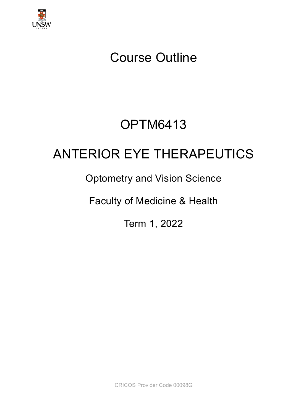

# Course Outline

# OPTM6413

# ANTERIOR EYE THERAPEUTICS

## Optometry and Vision Science

Faculty of Medicine & Health

Term 1, 2022

CRICOS Provider Code 00098G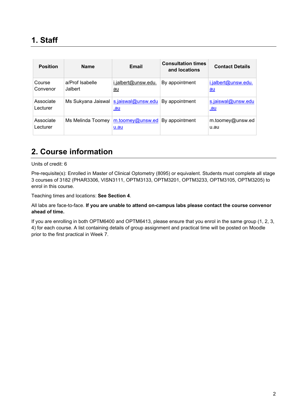| <b>Position</b>       | <b>Name</b>                | Email                            | <b>Consultation times</b><br>and locations | <b>Contact Details</b>           |
|-----------------------|----------------------------|----------------------------------|--------------------------------------------|----------------------------------|
| Course<br>Convenor    | a/Prof Isabelle<br>Jalbert | i.jalbert@unsw.edu.<br><u>au</u> | By appointment                             | i.jalbert@unsw.edu.<br><u>au</u> |
| Associate<br>Lecturer | Ms Sukyana Jaiswal         | s.jaiswal@unsw.edu<br><u>.au</u> | By appointment                             | s.jaiswal@unsw.edu<br><u>.au</u> |
| Associate<br>Lecturer | Ms Melinda Toomey          | $m$ .toomey@unsw.ed<br>$u$ .au   | By appointment                             | m.toomey@unsw.ed<br>u.au         |

## **2. Course information**

Units of credit: 6

Pre-requisite(s): Enrolled in Master of Clinical Optometry (8095) or equivalent. Students must complete all stage 3 courses of 3182 (PHAR3306, VISN3111, OPTM3133, OPTM3201, OPTM3233, OPTM3105, OPTM3205) to enrol in this course.

Teaching times and locations: **See Section 4**.

All labs are face-to-face. **If you are unable to attend on-campus labs please contact the course convenor ahead of time.**

If you are enrolling in both OPTM6400 and OPTM6413, please ensure that you enrol in the same group (1, 2, 3, 4) for each course. A list containing details of group assignment and practical time will be posted on Moodle prior to the first practical in Week 7.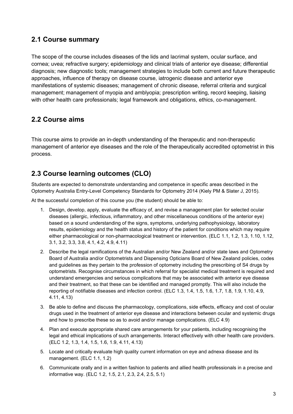#### **2.1 Course summary**

The scope of the course includes diseases of the lids and lacrimal system, ocular surface, and cornea; uvea; refractive surgery; epidemiology and clinical trials of anterior eye disease; differential diagnosis; new diagnostic tools; management strategies to include both current and future therapeutic approaches, influence of therapy on disease course, iatrogenic disease and anterior eye manifestations of systemic diseases; management of chronic disease, referral criteria and surgical management; management of myopia and amblyopia; prescription writing, record keeping, liaising with other health care professionals; legal framework and obligations, ethics, co-management.

#### **2.2 Course aims**

This course aims to provide an in-depth understanding of the therapeutic and non-therapeutic management of anterior eye diseases and the role of the therapeutically accredited optometrist in this process.

### **2.3 Course learning outcomes (CLO)**

Students are expected to demonstrate understanding and competence in specific areas described in the Optometry Australia Entry-Level Competency Standards for Optometry 2014 (Kiely PM & Slater J, 2015).

At the successful completion of this course you (the student) should be able to:

- 1. Design, develop, apply, evaluate the efficacy of, and revise a management plan for selected ocular diseases (allergic, infectious, inflammatory, and other miscellaneous conditions of the anterior eye) based on a sound understanding of the signs, symptoms, underlying pathophysiology, laboratory results, epidemiology and the health status and history of the patient for conditions which may require either pharmacological or non-pharmacological treatment or intervention. (ELC 1.1, 1.2, 1.3, 1.10, 1.12, 3.1, 3.2, 3.3, 3.8, 4.1, 4.2, 4.9, 4.11)
- 2. Describe the legal ramifications of the Australian and/or New Zealand and/or state laws and Optometry Board of Australia and/or Optometrists and Dispensing Opticians Board of New Zealand policies, codes and guidelines as they pertain to the profession of optometry including the prescribing of S4 drugs by optometrists. Recognise circumstances in which referral for specialist medical treatment is required and understand emergencies and serious complications that may be associated with anterior eye disease and their treatment, so that these can be identified and managed promptly. This will also include the reporting of notifiable diseases and infection control. (ELC 1.3, 1.4, 1.5, 1.6, 1.7, 1.8, 1.9, 1.10, 4.9, 4.11, 4.13)
- 3. Be able to define and discuss the pharmacology, complications, side effects, efficacy and cost of ocular drugs used in the treatment of anterior eye disease and interactions between ocular and systemic drugs and how to prescribe these so as to avoid and/or manage complications. (ELC 4.9)
- 4. Plan and execute appropriate shared care arrangements for your patients, including recognising the legal and ethical implications of such arrangements. Interact effectively with other health care providers. (ELC 1.2, 1.3, 1.4, 1.5, 1.6, 1.9, 4.11, 4.13)
- 5. Locate and critically evaluate high quality current information on eye and adnexa disease and its management. (ELC 1.1, 1.2)
- 6. Communicate orally and in a written fashion to patients and allied health professionals in a precise and informative way. (ELC 1.2, 1.5, 2.1, 2.3, 2.4, 2.5, 5.1)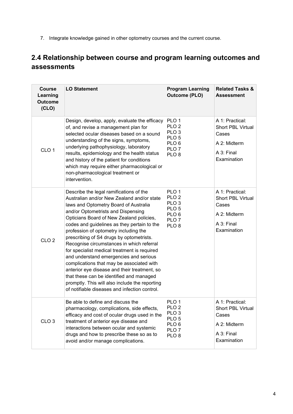7. Integrate knowledge gained in other optometry courses and the current course.

## **2.4 Relationship between course and program learning outcomes and assessments**

| <b>Course</b><br>Learning<br><b>Outcome</b><br>(CLO) | <b>LO Statement</b>                                                                                                                                                                                                                                                                                                                                                                                                                                                                                                                                                                                                                                                                                                                     | <b>Program Learning</b><br><b>Outcome (PLO)</b>                                                                                          | <b>Related Tasks &amp;</b><br><b>Assessment</b>                                                   |
|------------------------------------------------------|-----------------------------------------------------------------------------------------------------------------------------------------------------------------------------------------------------------------------------------------------------------------------------------------------------------------------------------------------------------------------------------------------------------------------------------------------------------------------------------------------------------------------------------------------------------------------------------------------------------------------------------------------------------------------------------------------------------------------------------------|------------------------------------------------------------------------------------------------------------------------------------------|---------------------------------------------------------------------------------------------------|
| CLO <sub>1</sub>                                     | Design, develop, apply, evaluate the efficacy<br>of, and revise a management plan for<br>selected ocular diseases based on a sound<br>understanding of the signs, symptoms,<br>underlying pathophysiology, laboratory<br>results, epidemiology and the health status<br>and history of the patient for conditions<br>which may require either pharmacological or<br>non-pharmacological treatment or<br>intervention.                                                                                                                                                                                                                                                                                                                   | PLO <sub>1</sub><br>PLO <sub>2</sub><br>PLO <sub>3</sub><br>PLO <sub>5</sub><br>PLO <sub>6</sub><br>PLO <sub>7</sub><br>PLO <sub>8</sub> | A 1: Practical:<br><b>Short PBL Virtual</b><br>Cases<br>A 2: Midterm<br>A 3: Final<br>Examination |
| CLO <sub>2</sub>                                     | Describe the legal ramifications of the<br>Australian and/or New Zealand and/or state<br>laws and Optometry Board of Australia<br>and/or Optometrists and Dispensing<br>Opticians Board of New Zealand policies,<br>codes and guidelines as they pertain to the<br>profession of optometry including the<br>prescribing of S4 drugs by optometrists.<br>Recognise circumstances in which referral<br>for specialist medical treatment is required<br>and understand emergencies and serious<br>complications that may be associated with<br>anterior eye disease and their treatment, so<br>that these can be identified and managed<br>promptly. This will also include the reporting<br>of notifiable diseases and infection control. | PLO <sub>1</sub><br>PLO <sub>2</sub><br>PLO <sub>3</sub><br>PLO <sub>5</sub><br>PLO <sub>6</sub><br>PLO <sub>7</sub><br>PLO <sub>8</sub> | A 1: Practical:<br><b>Short PBL Virtual</b><br>Cases<br>A 2: Midterm<br>A 3: Final<br>Examination |
| CLO <sub>3</sub>                                     | Be able to define and discuss the<br>pharmacology, complications, side effects,<br>efficacy and cost of ocular drugs used in the<br>treatment of anterior eye disease and<br>interactions between ocular and systemic<br>drugs and how to prescribe these so as to<br>avoid and/or manage complications.                                                                                                                                                                                                                                                                                                                                                                                                                                | PLO <sub>1</sub><br>PLO <sub>2</sub><br>PLO <sub>3</sub><br>PLO <sub>5</sub><br>PLO <sub>6</sub><br>PLO <sub>7</sub><br>PLO <sub>8</sub> | A 1: Practical:<br>Short PBL Virtual<br>Cases<br>A 2: Midterm<br>A 3: Final<br>Examination        |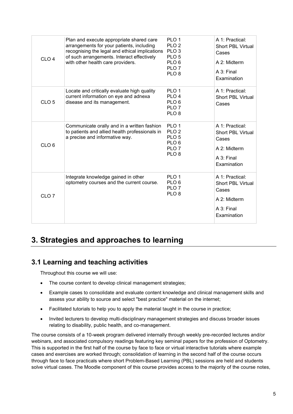| CLO <sub>4</sub> | Plan and execute appropriate shared care<br>arrangements for your patients, including<br>recognising the legal and ethical implications<br>of such arrangements. Interact effectively<br>with other health care providers. | PLO <sub>1</sub><br>PLO <sub>2</sub><br>PLO <sub>3</sub><br>PLO <sub>5</sub><br>PLO <sub>6</sub><br>PLO <sub>7</sub><br>PLO <sub>8</sub> | A 1: Practical:<br>Short PBL Virtual<br>Cases<br>A 2: Midterm<br>A 3: Final<br>Examination        |
|------------------|----------------------------------------------------------------------------------------------------------------------------------------------------------------------------------------------------------------------------|------------------------------------------------------------------------------------------------------------------------------------------|---------------------------------------------------------------------------------------------------|
| CLO <sub>5</sub> | Locate and critically evaluate high quality<br>current information on eye and adnexa<br>disease and its management.                                                                                                        | PLO <sub>1</sub><br>PLO <sub>4</sub><br>PLO <sub>6</sub><br>PLO <sub>7</sub><br>PLO <sub>8</sub>                                         | A 1: Practical:<br><b>Short PBL Virtual</b><br>Cases                                              |
| CLO <sub>6</sub> | Communicate orally and in a written fashion<br>to patients and allied health professionals in<br>a precise and informative way.                                                                                            | PLO <sub>1</sub><br>PLO <sub>2</sub><br>PLO <sub>5</sub><br>PLO <sub>6</sub><br>PLO <sub>7</sub><br>PLO <sub>8</sub>                     | A 1: Practical:<br><b>Short PBL Virtual</b><br>Cases<br>A 2: Midterm<br>A 3: Final<br>Examination |
| CLO <sub>7</sub> | Integrate knowledge gained in other<br>optometry courses and the current course.                                                                                                                                           | PLO <sub>1</sub><br>PLO <sub>6</sub><br>PLO <sub>7</sub><br>PLO <sub>8</sub>                                                             | A 1: Practical:<br>Short PBL Virtual<br>Cases<br>A 2: Midterm<br>A 3: Final<br>Examination        |

## **3. Strategies and approaches to learning**

### **3.1 Learning and teaching activities**

Throughout this course we will use:

- The course content to develop clinical management strategies;
- Example cases to consolidate and evaluate content knowledge and clinical management skills and assess your ability to source and select "best practice" material on the internet;
- Facilitated tutorials to help you to apply the material taught in the course in practice;
- Invited lecturers to develop multi-disciplinary management strategies and discuss broader issues relating to disability, public health, and co-management.

The course consists of a 10-week program delivered internally through weekly pre-recorded lectures and/or webinars, and associated compulsory readings featuring key seminal papers for the profession of Optometry. This is supported in the first half of the course by face to face or virtual interactive tutorials where example cases and exercises are worked through; consolidation of learning in the second half of the course occurs through face to face practicals where short Problem-Based Learning (PBL) sessions are held and students solve virtual cases. The Moodle component of this course provides access to the majority of the course notes,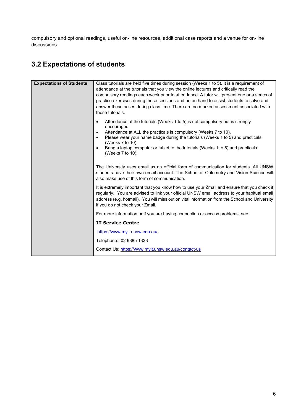compulsory and optional readings, useful on-line resources, additional case reports and a venue for on-line discussions.

## **3.2 Expectations of students**

| <b>Expectations of Students</b> | Class tutorials are held five times during session (Weeks 1 to 5). It is a requirement of<br>attendance at the tutorials that you view the online lectures and critically read the<br>compulsory readings each week prior to attendance. A tutor will present one or a series of<br>practice exercises during these sessions and be on hand to assist students to solve and<br>answer these cases during class time. There are no marked assessment associated with<br>these tutorials. |
|---------------------------------|-----------------------------------------------------------------------------------------------------------------------------------------------------------------------------------------------------------------------------------------------------------------------------------------------------------------------------------------------------------------------------------------------------------------------------------------------------------------------------------------|
|                                 | Attendance at the tutorials (Weeks 1 to 5) is not compulsory but is strongly<br>$\bullet$<br>encouraged.<br>Attendance at ALL the practicals is compulsory (Weeks 7 to 10).<br>$\bullet$<br>Please wear your name badge during the tutorials (Weeks 1 to 5) and practicals<br>$\bullet$<br>(Weeks 7 to 10).<br>Bring a laptop computer or tablet to the tutorials (Weeks 1 to 5) and practicals<br>$\bullet$<br>(Weeks 7 to 10).                                                        |
|                                 | The University uses email as an official form of communication for students. All UNSW<br>students have their own email account. The School of Optometry and Vision Science will<br>also make use of this form of communication.                                                                                                                                                                                                                                                         |
|                                 | It is extremely important that you know how to use your Zmail and ensure that you check it<br>regularly. You are advised to link your official UNSW email address to your habitual email<br>address (e.g. hotmail). You will miss out on vital information from the School and University<br>if you do not check your Zmail.                                                                                                                                                            |
|                                 | For more information or if you are having connection or access problems, see:                                                                                                                                                                                                                                                                                                                                                                                                           |
|                                 | <b>IT Service Centre</b>                                                                                                                                                                                                                                                                                                                                                                                                                                                                |
|                                 | https://www.myit.unsw.edu.au/                                                                                                                                                                                                                                                                                                                                                                                                                                                           |
|                                 | Telephone: 02 9385 1333                                                                                                                                                                                                                                                                                                                                                                                                                                                                 |
|                                 | Contact Us: https://www.myit.unsw.edu.au/contact-us                                                                                                                                                                                                                                                                                                                                                                                                                                     |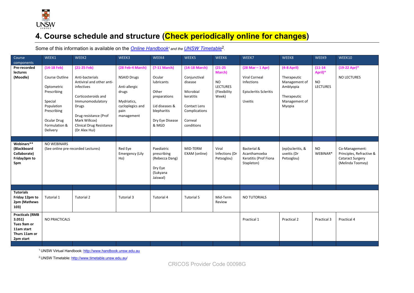

## **4. Course schedule and structure (Check periodically online for changes)**

Some of this information is available on the *Online Handbook<sup>1</sup>* and the *UNSW Timetable*<sup>2</sup>.

| Course<br>components                                                                        | WEEK1                                                                                                                                            | WEEK2                                                                                                                                                                                                                         | WEEK3                                                                                                                     | WEEK4                                                                                                                        | WEEK5                                                                                                                        | WEEK6                                                                          | WEEK7                                                                                                                | WEEK8                                                                                                | WEEK9                                                  | WEEK10                                                                                    |
|---------------------------------------------------------------------------------------------|--------------------------------------------------------------------------------------------------------------------------------------------------|-------------------------------------------------------------------------------------------------------------------------------------------------------------------------------------------------------------------------------|---------------------------------------------------------------------------------------------------------------------------|------------------------------------------------------------------------------------------------------------------------------|------------------------------------------------------------------------------------------------------------------------------|--------------------------------------------------------------------------------|----------------------------------------------------------------------------------------------------------------------|------------------------------------------------------------------------------------------------------|--------------------------------------------------------|-------------------------------------------------------------------------------------------|
| Pre-recorded<br><b>lectures</b><br>(Moodle)                                                 | $(14-18$ Feb)<br>Course Outline<br>Optometric<br>Prescribing<br>Special<br>Population<br>Prescribing<br>Ocular Drug<br>Formulation &<br>Delivery | $(21-25$ Feb)<br>Anti-bacterials<br>Antiviral and other anti-<br>infectives<br>Corticosteroids and<br>Immunomodulatory<br>Drugs<br>Drug resistance (Prof<br>Mark Willcox)<br><b>Clinical Drug Resistance</b><br>(Dr Alex Hui) | (28 Feb-4 March)<br><b>NSAID Drugs</b><br>Anti-allergic<br>drugs<br>Mydriatics,<br>cycloplegics and<br>pain<br>management | $(7-11$ March)<br>Ocular<br>lubricants<br>Other<br>preparations<br>Lid diseases &<br>blepharitis<br>Dry Eye Disease<br>& MGD | (14-18 March)<br>Conjunctival<br>disease<br>Microbial<br>keratitis<br>Contact Lens<br>Complications<br>Corneal<br>conditions | $(21 - 25)$<br>March)<br><b>NO</b><br><b>LECTURES</b><br>(Flexibility<br>Week) | $(28 \text{ Mar} - 1 \text{ Apr})$<br>Viral Corneal<br>Infections<br><b>Episcleritis Scleritis</b><br><b>Uveitis</b> | $(4-8$ April)<br>Therapeutic<br>Management of<br>Amblyopia<br>Therapeutic<br>Management of<br>Myopia | $(11 - 14)$<br>April)*<br><b>NO</b><br><b>LECTURES</b> | $(19-22$ Apr)*<br><b>NO LECTURES</b>                                                      |
| Webinars**<br>(Blackboard<br>Collaborate)<br>Friday3pm to<br>5pm                            | <b>NO WEBINARS</b>                                                                                                                               | (See online pre-recorded Lectures)                                                                                                                                                                                            | Red Eye<br><b>Emergency (Lily</b><br>Ho)                                                                                  | Paediatric<br>prescribing<br>(Rebecca Dang)<br>Dry Eye<br>(Sukyana<br>Jaiswal)                                               | MID-TERM<br>EXAM (online)                                                                                                    | Viral<br>Infections (Dr<br>Petsoglou)                                          | Bacterial &<br>Acanthamoeba<br>Keratitis (Prof Fiona<br>Stapleton)                                                   | (epi)scleritis, &<br>uveitis (Dr<br>Petsoglou)                                                       | <b>NO</b><br>WEBINAR*                                  | Co-Management:<br>Principles, Refractive &<br><b>Cataract Surgery</b><br>(Melinda Toomey) |
|                                                                                             |                                                                                                                                                  |                                                                                                                                                                                                                               |                                                                                                                           |                                                                                                                              |                                                                                                                              |                                                                                |                                                                                                                      |                                                                                                      |                                                        |                                                                                           |
| <b>Tutorials</b><br>Friday 12pm to<br>2pm (Mathews<br>103)                                  | Tutorial 1                                                                                                                                       | Tutorial 2                                                                                                                                                                                                                    | Tutorial 3                                                                                                                | <b>Tutorial 4</b>                                                                                                            | <b>Tutorial 5</b>                                                                                                            | Mid-Term<br>Review                                                             | NO TUTORIALS                                                                                                         |                                                                                                      |                                                        |                                                                                           |
| <b>Practicals (RMB</b><br>3.051)<br>Tues 9am or<br>11am start<br>Thurs 11am or<br>2pm start | NO PRACTICALS                                                                                                                                    |                                                                                                                                                                                                                               |                                                                                                                           |                                                                                                                              |                                                                                                                              |                                                                                | Practical 1                                                                                                          | Practical 2                                                                                          | Practical 3                                            | Practical 4                                                                               |

1 UNSW Virtual Handbook[: http://www.handbook.unsw.edu.au](http://www.handbook.unsw.edu.au/) 

<sup>2</sup> UNSW Timetable[: http://www.timetable.unsw.edu.au/](http://www.timetable.unsw.edu.au/)

CRICOS Provider Code 00098G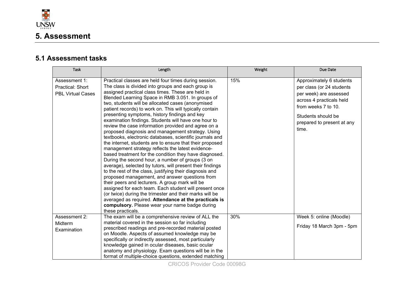

#### **5.1 Assessment tasks**

| <b>Task</b>                                                          | Length                                                                                                                                                                                                                                                                                                                                                                                                                                                                                                                                                                                                                                                                                                                                                                                                                                                                                                                                                                                                                                                                                                                                                                                                                                                                                                                                    | Weight | Due Date                                                                                                                                                                                        |
|----------------------------------------------------------------------|-------------------------------------------------------------------------------------------------------------------------------------------------------------------------------------------------------------------------------------------------------------------------------------------------------------------------------------------------------------------------------------------------------------------------------------------------------------------------------------------------------------------------------------------------------------------------------------------------------------------------------------------------------------------------------------------------------------------------------------------------------------------------------------------------------------------------------------------------------------------------------------------------------------------------------------------------------------------------------------------------------------------------------------------------------------------------------------------------------------------------------------------------------------------------------------------------------------------------------------------------------------------------------------------------------------------------------------------|--------|-------------------------------------------------------------------------------------------------------------------------------------------------------------------------------------------------|
| Assessment 1:<br><b>Practical: Short</b><br><b>PBL Virtual Cases</b> | Practical classes are held four times during session.<br>The class is divided into groups and each group is<br>assigned practical class times. These are held in<br>Blended Learning Space in RMB 3.051. In groups of<br>two, students will be allocated cases (anonymised<br>patient records) to work on. This will typically contain<br>presenting symptoms, history findings and key<br>examination findings. Students will have one hour to<br>review the case information provided and agree on a<br>proposed diagnosis and management strategy. Using<br>textbooks, electronic databases, scientific journals and<br>the internet, students are to ensure that their proposed<br>management strategy reflects the latest evidence-<br>based treatment for the condition they have diagnosed.<br>During the second hour, a number of groups (3 on<br>average), selected by tutors, will present their findings<br>to the rest of the class, justifying their diagnosis and<br>proposed management, and answer questions from<br>their peers and lecturers. A group mark will be<br>assigned for each team. Each student will present once<br>(or twice) during the trimester and their marks will be<br>averaged as required. Attendance at the practicals is<br>compulsory. Please wear your name badge during<br>these practicals. | 15%    | Approximately 6 students<br>per class (or 24 students<br>per week) are assessed<br>across 4 practicals held<br>from weeks 7 to 10.<br>Students should be<br>prepared to present at any<br>time. |
| Assessment 2:<br>Midterm<br>Examination                              | The exam will be a comprehensive review of ALL the<br>material covered in the session so far including<br>prescribed readings and pre-recorded material posted<br>on Moodle. Aspects of assumed knowledge may be<br>specifically or indirectly assessed, most particularly<br>knowledge gained in ocular diseases, basic ocular<br>anatomy and physiology. Exam questions will be in the<br>format of multiple-choice questions, extended matching                                                                                                                                                                                                                                                                                                                                                                                                                                                                                                                                                                                                                                                                                                                                                                                                                                                                                        | 30%    | Week 5: online (Moodle)<br>Friday 18 March 3pm - 5pm                                                                                                                                            |

CRICOS Provider Code 00098G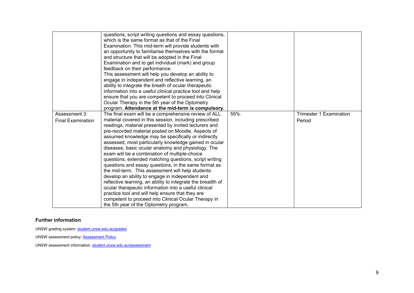|                          | questions, script writing questions and essay questions,    |      |                                |
|--------------------------|-------------------------------------------------------------|------|--------------------------------|
|                          | which is the same format as that of the Final               |      |                                |
|                          | Examination. This mid-term will provide students with       |      |                                |
|                          | an opportunity to familiarise themselves with the format    |      |                                |
|                          | and structure that will be adopted in the Final             |      |                                |
|                          | Examination and to get individual (mark) and group          |      |                                |
|                          | feedback on their performance.                              |      |                                |
|                          | This assessment will help you develop an ability to         |      |                                |
|                          | engage in independent and reflective learning, an           |      |                                |
|                          | ability to integrate the breath of ocular therapeutic       |      |                                |
|                          | information into a useful clinical practice tool and help   |      |                                |
|                          | ensure that you are competent to proceed into Clinical      |      |                                |
|                          | Ocular Therapy in the 5th year of the Optometry             |      |                                |
|                          | program. Attendance at the mid-term is compulsory.          |      |                                |
| Assessment 3:            | The final exam will be a comprehensive review of ALL        | 55%. | <b>Trimester 1 Examination</b> |
| <b>Final Examination</b> | material covered in this session, including prescribed      |      | Period                         |
|                          | readings, material presented by invited lecturers and       |      |                                |
|                          | pre-recorded material posted on Moodle. Aspects of          |      |                                |
|                          | assumed knowledge may be specifically or indirectly         |      |                                |
|                          | assessed, most particularly knowledge gained in ocular      |      |                                |
|                          | diseases, basic ocular anatomy and physiology. The          |      |                                |
|                          | exam will be a combination of multiple-choice               |      |                                |
|                          | questions, extended matching questions, script writing      |      |                                |
|                          | questions and essay questions, in the same format as        |      |                                |
|                          | the mid-term. This assessment will help students            |      |                                |
|                          | develop an ability to engage in independent and             |      |                                |
|                          | reflective learning, an ability to integrate the breadth of |      |                                |
|                          | ocular therapeutic information into a useful clinical       |      |                                |
|                          | practice tool and will help ensure that they are            |      |                                |
|                          | competent to proceed into Clinical Ocular Therapy in        |      |                                |
|                          | the 5th year of the Optometry program.                      |      |                                |

#### **Further information**

UNSW grading system[: student.unsw.edu.au/grades](https://student.unsw.edu.au/grades)

UNSW assessment policy: **Assessment Policy** 

UNSW assessment information[: student.unsw.edu.au/assessment](https://student.unsw.edu.au/assessment)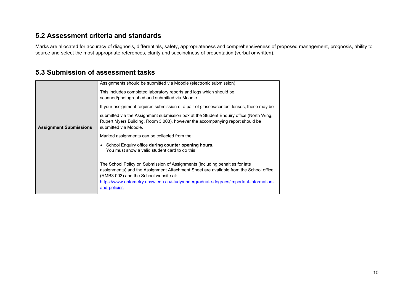#### **5.2 Assessment criteria and standards**

Marks are allocated for accuracy of diagnosis, differentials, safety, appropriateness and comprehensiveness of proposed management, prognosis, ability to source and select the most appropriate references, clarity and succinctness of presentation (verbal or written).

#### **5.3 Submission of assessment tasks**

|                               | Assignments should be submitted via Moodle (electronic submission).                                                                                                                                            |
|-------------------------------|----------------------------------------------------------------------------------------------------------------------------------------------------------------------------------------------------------------|
|                               | This includes completed laboratory reports and logs which should be<br>scanned/photographed and submitted via Moodle.                                                                                          |
|                               | If your assignment requires submission of a pair of glasses/contact lenses, these may be                                                                                                                       |
| <b>Assignment Submissions</b> | submitted via the Assignment submission box at the Student Enguiry office (North Wing,<br>Rupert Myers Building, Room 3.003), however the accompanying report should be<br>submitted via Moodle.               |
|                               | Marked assignments can be collected from the:                                                                                                                                                                  |
|                               | • School Enquiry office during counter opening hours.<br>You must show a valid student card to do this.                                                                                                        |
|                               | The School Policy on Submission of Assignments (including penalties for late<br>assignments) and the Assignment Attachment Sheet are available from the School office<br>(RMB3.003) and the School website at: |
|                               | https://www.optometry.unsw.edu.au/study/undergraduate-degrees/important-information-<br>and-policies                                                                                                           |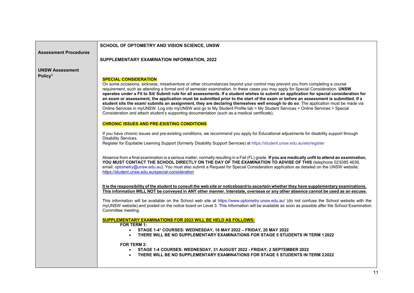| SCHOOL OF OPTOMETRY AND VISION SCIENCE, UNSW                                                                                                                                                                                                                                                                                                                                                                                                                                                                                                                                                                                                                                                                                                                                                                                                                                                                                                                                                                                                                                                                                                                                                                                                                                                                                                                                                                                                                                                                                                                                                                                                                                                                                                                                                                                                                                                                                                                                                                                                                                                                                                                                                                                                                                                                                                                                                                                                                                                                                                                                                                                                                                                                                                                                                                                                   |
|------------------------------------------------------------------------------------------------------------------------------------------------------------------------------------------------------------------------------------------------------------------------------------------------------------------------------------------------------------------------------------------------------------------------------------------------------------------------------------------------------------------------------------------------------------------------------------------------------------------------------------------------------------------------------------------------------------------------------------------------------------------------------------------------------------------------------------------------------------------------------------------------------------------------------------------------------------------------------------------------------------------------------------------------------------------------------------------------------------------------------------------------------------------------------------------------------------------------------------------------------------------------------------------------------------------------------------------------------------------------------------------------------------------------------------------------------------------------------------------------------------------------------------------------------------------------------------------------------------------------------------------------------------------------------------------------------------------------------------------------------------------------------------------------------------------------------------------------------------------------------------------------------------------------------------------------------------------------------------------------------------------------------------------------------------------------------------------------------------------------------------------------------------------------------------------------------------------------------------------------------------------------------------------------------------------------------------------------------------------------------------------------------------------------------------------------------------------------------------------------------------------------------------------------------------------------------------------------------------------------------------------------------------------------------------------------------------------------------------------------------------------------------------------------------------------------------------------------|
| SUPPLEMENTARY EXAMINATION INFORMATION, 2022                                                                                                                                                                                                                                                                                                                                                                                                                                                                                                                                                                                                                                                                                                                                                                                                                                                                                                                                                                                                                                                                                                                                                                                                                                                                                                                                                                                                                                                                                                                                                                                                                                                                                                                                                                                                                                                                                                                                                                                                                                                                                                                                                                                                                                                                                                                                                                                                                                                                                                                                                                                                                                                                                                                                                                                                    |
|                                                                                                                                                                                                                                                                                                                                                                                                                                                                                                                                                                                                                                                                                                                                                                                                                                                                                                                                                                                                                                                                                                                                                                                                                                                                                                                                                                                                                                                                                                                                                                                                                                                                                                                                                                                                                                                                                                                                                                                                                                                                                                                                                                                                                                                                                                                                                                                                                                                                                                                                                                                                                                                                                                                                                                                                                                                |
| <b>SPECIAL CONSIDERATION</b><br>On some occasions, sickness, misadventure or other circumstances beyond your control may prevent you from completing a course<br>requirement, such as attending a formal end of semester examination. In these cases you may apply for Special Consideration. UNSW<br>operates under a Fit to Sit/ Submit rule for all assessments. If a student wishes to submit an application for special consideration for<br>an exam or assessment, the application must be submitted prior to the start of the exam or before an assessment is submitted. If a<br>student sits the exam/ submits an assignment, they are declaring themselves well enough to do so. The application must be made via<br>Online Services in myUNSW. Log into myUNSW and go to My Student Profile tab > My Student Services > Online Services > Special<br>Consideration and attach student's supporting documentation (such as a medical certificate).<br><b>CHRONIC ISSUES AND PRE-EXISTING CONDITIONS</b><br>If you have chronic issues and pre-existing conditions, we recommend you apply for Educational adjustments for disability support through<br>Disability Services.<br>Register for Equitable Learning Support (formerly Disability Support Services) at https://student.unsw.edu.au/els/register<br>Absence from a final examination is a serious matter, normally resulting in a Fail (FL) grade. If you are medically unfit to attend an examination,<br>YOU MUST CONTACT THE SCHOOL DIRECTLY ON THE DAY OF THE EXAMINATION TO ADVISE OF THIS (telephone 029385 4639,<br>email: optometry@unsw.edu.au). You must also submit a Request for Special Consideration application as detailed on the UNSW website:<br>https://student.unsw.edu.au/special-consideration<br>It is the responsibility of the student to consult the web site or noticeboard to ascertain whether they have supplementary examinations.<br>This information WILL NOT be conveyed in ANY other manner. Interstate, overseas or any other absence cannot be used as an excuse.<br>This information will be available on the School web site at https://www.optometry.unsw.edu.au/ (do not confuse the School website with the<br>myUNSW website) and posted on the notice board on Level 3. This information will be available as soon as possible after the School Examination<br>Committee meeting.<br><b>SUPPLEMENTARY EXAMINATIONS FOR 2022 WILL BE HELD AS FOLLOWS:</b><br>FOR TERM 1:<br>• STAGE 1-4* COURSES: WEDNESDAY, 18 MAY 2022 - FRIDAY, 20 MAY 2022<br>THERE WILL BE NO SUPPLEMENTARY EXAMINATIONS FOR STAGE 5 STUDENTS IN TERM 12022<br><b>FOR TERM 2:</b><br>STAGE 1-4 COURSES: WEDNESDAY, 31 AUGUST 2022 - FRIDAY, 2 SEPTEMBER 2022<br>$\bullet$<br>THERE WILL BE NO SUPPLEMENTARY EXAMINATIONS FOR STAGE 5 STUDENTS IN TERM 22022 |
|                                                                                                                                                                                                                                                                                                                                                                                                                                                                                                                                                                                                                                                                                                                                                                                                                                                                                                                                                                                                                                                                                                                                                                                                                                                                                                                                                                                                                                                                                                                                                                                                                                                                                                                                                                                                                                                                                                                                                                                                                                                                                                                                                                                                                                                                                                                                                                                                                                                                                                                                                                                                                                                                                                                                                                                                                                                |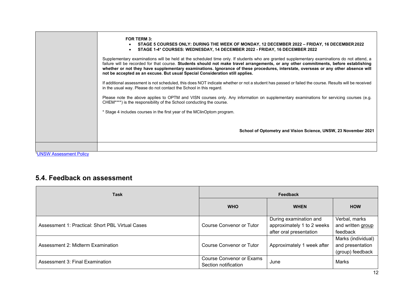|                               | FOR TERM 3:<br>STAGE 5 COURSES ONLY: DURING THE WEEK OF MONDAY, 12 DECEMBER 2022 – FRIDAY, 16 DECEMBER 2022<br>STAGE 1-4* COURSES: WEDNESDAY, 14 DECEMBER 2022 - FRIDAY, 16 DECEMBER 2022<br>Supplementary examinations will be held at the scheduled time only. If students who are granted supplementary examinations do not attend, a<br>failure will be recorded for that course. Students should not make travel arrangements, or any other commitments, before establishing<br>whether or not they have supplementary examinations. Ignorance of these procedures, interstate, overseas or any other absence will<br>not be accepted as an excuse. But usual Special Consideration still applies.<br>If additional assessment is not scheduled, this does NOT indicate whether or not a student has passed or failed the course. Results will be received<br>in the usual way. Please do not contact the School in this regard.<br>Please note the above applies to OPTM and VISN courses only. Any information on supplementary examinations for servicing courses (e.g.<br>CHEM****) is the responsibility of the School conducting the course. |
|-------------------------------|---------------------------------------------------------------------------------------------------------------------------------------------------------------------------------------------------------------------------------------------------------------------------------------------------------------------------------------------------------------------------------------------------------------------------------------------------------------------------------------------------------------------------------------------------------------------------------------------------------------------------------------------------------------------------------------------------------------------------------------------------------------------------------------------------------------------------------------------------------------------------------------------------------------------------------------------------------------------------------------------------------------------------------------------------------------------------------------------------------------------------------------------------------|
|                               | * Stage 4 includes courses in the first year of the MClinOptom program.                                                                                                                                                                                                                                                                                                                                                                                                                                                                                                                                                                                                                                                                                                                                                                                                                                                                                                                                                                                                                                                                                 |
|                               | School of Optometry and Vision Science, UNSW, 23 November 2021                                                                                                                                                                                                                                                                                                                                                                                                                                                                                                                                                                                                                                                                                                                                                                                                                                                                                                                                                                                                                                                                                          |
|                               |                                                                                                                                                                                                                                                                                                                                                                                                                                                                                                                                                                                                                                                                                                                                                                                                                                                                                                                                                                                                                                                                                                                                                         |
| <b>UNSW Assessment Policy</b> |                                                                                                                                                                                                                                                                                                                                                                                                                                                                                                                                                                                                                                                                                                                                                                                                                                                                                                                                                                                                                                                                                                                                                         |

## **5.4. Feedback on assessment**

| Task                                             | Feedback                                                |                                                                                 |                                                            |  |
|--------------------------------------------------|---------------------------------------------------------|---------------------------------------------------------------------------------|------------------------------------------------------------|--|
|                                                  | <b>WHO</b>                                              | <b>WHEN</b>                                                                     | <b>HOW</b>                                                 |  |
| Assessment 1: Practical: Short PBL Virtual Cases | Course Convenor or Tutor                                | During examination and<br>approximately 1 to 2 weeks<br>after oral presentation | Verbal, marks<br>and written group<br>feedback             |  |
| Assessment 2: Midterm Examination                | Course Convenor or Tutor                                | Approximately 1 week after                                                      | Marks (individual)<br>and presentation<br>(group) feedback |  |
| Assessment 3: Final Examination                  | <b>Course Convenor or Exams</b><br>Section notification | June                                                                            | Marks                                                      |  |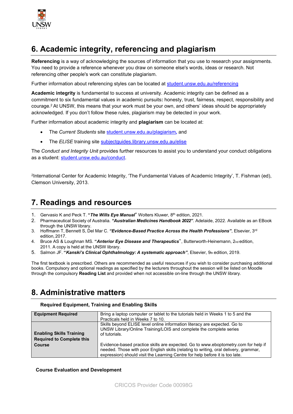

## **6. Academic integrity, referencing and plagiarism**

**Referencing** is a way of acknowledging the sources of information that you use to research your assignments. You need to provide a reference whenever you draw on someone else's words, ideas or research. Not referencing other people's work can constitute plagiarism.

Further information about referencing styles can be located at [student.unsw.edu.au/referencing](https://student.unsw.edu.au/referencing)

**Academic integrity** is fundamental to success at university. Academic integrity can be defined as a commitment to six fundamental values in academic pursuits**:** honesty, trust, fairness, respect, responsibility and courage.2 At UNSW, this means that your work must be your own, and others' ideas should be appropriately acknowledged. If you don't follow these rules, plagiarism may be detected in your work.

Further information about academic integrity and **plagiarism** can be located at:

- The *Current Students* site [student.unsw.edu.au/plagiarism](https://student.unsw.edu.au/plagiarism)*,* and
- The **ELISE** training site [subjectguides.library.unsw.edu.au/elise](http://subjectguides.library.unsw.edu.au/elise)

The *Conduct and Integrity Unit* provides further resources to assist you to understand your conduct obligations as a student: [student.unsw.edu.au/conduct.](https://student.unsw.edu.au/conduct)

2International Center for Academic Integrity, 'The Fundamental Values of Academic Integrity', T. Fishman (ed), Clemson University, 2013.

### **7. Readings and resources**

- 1. Gervasio K and Peck T. **"***The Wills Eye Manual*" Wolters Kluwer, 8th edition, 2021.
- 2. Pharmaceutical Society of Australia. *"Australian Medicines Handbook 2022"*. Adelaide, 2022. Available as an EBook through the UNSW library.
- 3. Hoffmann T, Bennett S, Del Mar C. *"Evidence-Based Practice Across the Health Professions"*, Elsevier, 3rd edition, 2017.
- 4. Bruce AS & Loughnan MS. **"***Anterior Eye Disease and Therapeutics*", Butterworth-Heinemann, 2nd edition, 2011. A copy is held at the UNSW library.
- 5. Salmon JF. **"***Kanski's Clinical Ophthalmology: A systematic approach"*, Elsevier, 9th edition, 2019.

The first textbook is prescribed. Others are recommended as useful resources if you wish to consider purchasing additional books. Compulsory and optional readings as specified by the lecturers throughout the session will be listed on Moodle through the compulsory **Reading List** and provided when not accessible on-line through the UNSW library.

## **8. Administrative matters**

#### **Required Equipment, Training and Enabling Skills**

| <b>Equipment Required</b>                                           | Bring a laptop computer or tablet to the tutorials held in Weeks 1 to 5 and the                                                                                                                                                                            |
|---------------------------------------------------------------------|------------------------------------------------------------------------------------------------------------------------------------------------------------------------------------------------------------------------------------------------------------|
|                                                                     | Practicals held in Weeks 7 to 10.                                                                                                                                                                                                                          |
| <b>Enabling Skills Training</b><br><b>Required to Complete this</b> | Skills beyond ELISE level online information literacy are expected. Go to<br>UNSW Library/Online Training/LOIS and complete the complete series<br>of tutorials.                                                                                           |
| <b>Course</b>                                                       | Evidence-based practice skills are expected. Go to www.eboptometry.com for help if<br>needed. Those with poor English skills (relating to writing, oral delivery, grammar,<br>expression) should visit the Learning Centre for help before it is too late. |

#### **Course Evaluation and Development**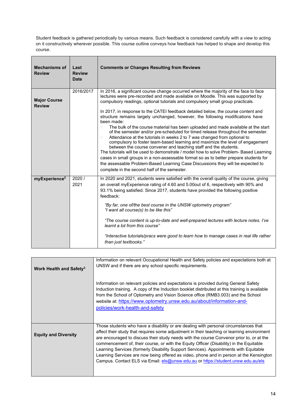Student feedback is gathered periodically by various means. Such feedback is considered carefully with a view to acting on it constructively wherever possible. This course outline conveys how feedback has helped to shape and develop this course.

| <b>Mechanisms of</b><br><b>Review</b> | Last<br><b>Review</b><br><b>Date</b> | <b>Comments or Changes Resulting from Reviews</b>                                                                                                                                                                                                                                                                                                                                                                                                                                                                                                                                                                                                                                                                                                                                                                                                                                                                                                                                                                                                                                                                                                                                                |  |
|---------------------------------------|--------------------------------------|--------------------------------------------------------------------------------------------------------------------------------------------------------------------------------------------------------------------------------------------------------------------------------------------------------------------------------------------------------------------------------------------------------------------------------------------------------------------------------------------------------------------------------------------------------------------------------------------------------------------------------------------------------------------------------------------------------------------------------------------------------------------------------------------------------------------------------------------------------------------------------------------------------------------------------------------------------------------------------------------------------------------------------------------------------------------------------------------------------------------------------------------------------------------------------------------------|--|
| <b>Major Course</b><br><b>Review</b>  | 2016/2017                            | In 2016, a significant course change occurred where the majority of the face to face<br>lectures were pre-recorded and made available on Moodle. This was supported by<br>compulsory readings, optional tutorials and compulsory small group practicals.<br>In 2017, in response to the CATEI feedback detailed below, the course content and<br>structure remains largely unchanged, however, the following modifications have<br>been made:<br>The bulk of the course material has been uploaded and made available at the start<br>$\Box$<br>of the semester and/or pre-scheduled for timed release throughout the semester.<br>Attendance at the tutorials in weeks 2 to 7 was changed from optional to<br>$\Box$<br>compulsory to foster team-based learning and maximize the level of engagement<br>between the course convener and teaching staff and the students.<br>The tutorials will be used to demonstrate / model how to solve Problem- Based Learning<br>cases in small groups in a non-assessable format so as to better prepare students for<br>the assessable Problem-Based Learning Case Discussions they will be expected to<br>complete in the second half of the semester. |  |
| myExperience <sup>2</sup>             | 2020/<br>2021                        | In 2020 and 2021, students were satisfied with the overall quality of the course, giving<br>an overall myExperience rating of 4.60 and 5.00out of 6, respectively with 90% and<br>93.1% being satisfied. Since 2017, students have provided the following positive<br>feedback:<br>"By far, one of/the best course in the UNSW optometry program"<br>"I want all course(s) to be like this"<br>"The course content is up-to-date and well-prepared lectures with lecture notes. I've<br>learnt a lot from this course"<br>"Interactive tutorials/pracs were good to learn how to manage cases in real life rather<br>than just textbooks."                                                                                                                                                                                                                                                                                                                                                                                                                                                                                                                                                       |  |

| Work Health and Safety <sup>3</sup> | Information on relevant Occupational Health and Safety policies and expectations both at<br>UNSW and if there are any school specific requirements.                                                                                                                                                                                                                                                                                                                                                                                                                                                                                                |
|-------------------------------------|----------------------------------------------------------------------------------------------------------------------------------------------------------------------------------------------------------------------------------------------------------------------------------------------------------------------------------------------------------------------------------------------------------------------------------------------------------------------------------------------------------------------------------------------------------------------------------------------------------------------------------------------------|
|                                     | Information on relevant policies and expectations is provided during General Safety<br>Induction training. A copy of the Induction booklet distributed at this training is available<br>from the School of Optometry and Vision Science office (RMB3.003) and the School<br>website at: https://www.optometry.unsw.edu.au/about/information-and-<br>policies/work-health-and-safety                                                                                                                                                                                                                                                                |
| <b>Equity and Diversity</b>         | Those students who have a disability or are dealing with personal circumstances that<br>affect their study that requires some adjustment in their teaching or learning environment<br>are encouraged to discuss their study needs with the course Convenor prior to, or at the<br>commencement of, their course, or with the Equity Officer (Disability) in the Equitable<br>Learning Services (formerly Disability Support Services). Appointments with Equitable<br>Learning Services are now being offered as video, phone and in person at the Kensington<br>Campus. Contact ELS via Email: els@unsw.edu.au or https://student.unsw.edu.au/els |